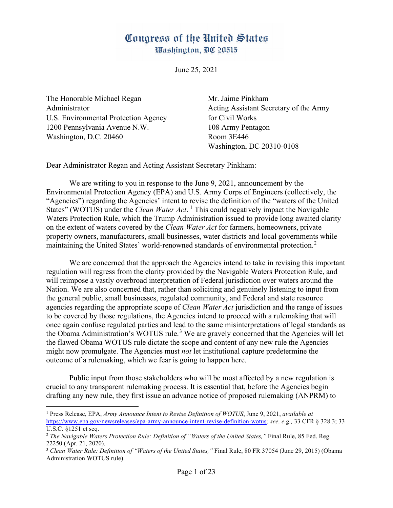## Congress of the United States Washington, DC 20515

June 25, 2021

The Honorable Michael Regan Mr. Jaime Pinkham U.S. Environmental Protection Agency for Civil Works 1200 Pennsylvania Avenue N.W. 108 Army Pentagon Washington, D.C. 20460 Room 3E446

Administrator Acting Assistant Secretary of the Army Washington, DC 20310-0108

Dear Administrator Regan and Acting Assistant Secretary Pinkham:

We are writing to you in response to the June 9, 2021, announcement by the Environmental Protection Agency (EPA) and U.S. Army Corps of Engineers (collectively, the "Agencies") regarding the Agencies' intent to [re](#page-0-0)vise the definition of the "waters of the United States" (WOTUS) under the *Clean Water Act*. <sup>1</sup> This could negatively impact the Navigable Waters Protection Rule, which the Trump Administration issued to provide long awaited clarity on the extent of waters covered by the *Clean Water Act* for farmers, homeowners, private property owners, manufacturers, small businesses, water districts and local governments while maintaining the United States' world-renowned standards of environmental protection.<sup>[2](#page-0-1)</sup>

We are concerned that the approach the Agencies intend to take in revising this important regulation will regress from the clarity provided by the Navigable Waters Protection Rule, and will reimpose a vastly overbroad interpretation of Federal jurisdiction over waters around the Nation. We are also concerned that, rather than soliciting and genuinely listening to input from the general public, small businesses, regulated community, and Federal and state resource agencies regarding the appropriate scope of *Clean Water Act* jurisdiction and the range of issues to be covered by those regulations, the Agencies intend to proceed with a rulemaking that will once again confuse regulated parties and lead to the same misinterpretations of legal standards as the Obama Administration's WOTUS rule.<sup>[3](#page-0-2)</sup> We are gravely concerned that the Agencies will let the flawed Obama WOTUS rule dictate the scope and content of any new rule the Agencies might now promulgate. The Agencies must *not* let institutional capture predetermine the outcome of a rulemaking, which we fear is going to happen here.

Public input from those stakeholders who will be most affected by a new regulation is crucial to any transparent rulemaking process. It is essential that, before the Agencies begin drafting any new rule, they first issue an advance notice of proposed rulemaking (ANPRM) to

<span id="page-0-0"></span><sup>1</sup> Press Release, EPA, *Army Announce Intent to Revise Definition of WOTUS*, June 9, 2021, *available at*  <https://www.epa.gov/newsreleases/epa-army-announce-intent-revise-definition-wotus>*; see, e.g.,* 33 CFR § 328.3; 33 U.S.C. §1251 et seq.

<span id="page-0-1"></span><sup>2</sup> *The Navigable Waters Protection Rule: Definition of "Waters of the United States,"* Final Rule, 85 Fed. Reg. 22250 (Apr. 21, 2020).

<span id="page-0-2"></span><sup>3</sup> *Clean Water Rule: Definition of "Waters of the United States,"* Final Rule, 80 FR 37054 (June 29, 2015) (Obama Administration WOTUS rule).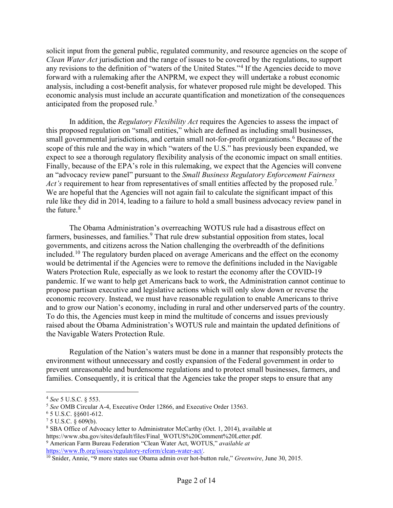solicit input from the general public, regulated community, and resource agencies on the scope of *Clean Water Act* jurisdiction and the range of issues to be covered by the regulations, to support any revisions to the definition of "waters of the United States."<sup>[4](#page-1-0)</sup> If the Agencies decide to move forward with a rulemaking after the ANPRM, we expect they will undertake a robust economic analysis, including a cost-benefit analysis, for whatever proposed rule might be developed. This economic analysis must include an accurate quantification and monetization of the consequences anticipated from the proposed rule.<sup>[5](#page-1-1)</sup>

In addition, the *Regulatory Flexibility Act* requires the Agencies to assess the impact of this proposed regulation on "small entities," which are defined as including small businesses, small governmental jurisdictions, and certain small not-for-profit organizations.<sup>[6](#page-1-2)</sup> Because of the scope of this rule and the way in which "waters of the U.S." has previously been expanded, we expect to see a thorough regulatory flexibility analysis of the economic impact on small entities. Finally, because of the EPA's role in this rulemaking, we expect that the Agencies will convene an "advocacy review panel" pursuant to the *Small Business Regulatory Enforcement Fairness Act's* requirement to hear from representatives of small entities affected by the proposed rule.<sup>[7](#page-1-3)</sup> We are hopeful that the Agencies will not again fail to calculate the significant impact of this rule like they did in 2014, leading to a failure to hold a small business advocacy review panel in the future. $8$ 

The Obama Administration's overreaching WOTUS rule had a disastrous effect on farmers, businesses, and families.<sup>[9](#page-1-5)</sup> That rule drew substantial opposition from states, local governments, and citizens across the Nation challenging the overbreadth of the definitions included.<sup>[10](#page-1-6)</sup> The regulatory burden placed on average Americans and the effect on the economy would be detrimental if the Agencies were to remove the definitions included in the Navigable Waters Protection Rule, especially as we look to restart the economy after the COVID-19 pandemic. If we want to help get Americans back to work, the Administration cannot continue to propose partisan executive and legislative actions which will only slow down or reverse the economic recovery. Instead, we must have reasonable regulation to enable Americans to thrive and to grow our Nation's economy, including in rural and other underserved parts of the country. To do this, the Agencies must keep in mind the multitude of concerns and issues previously raised about the Obama Administration's WOTUS rule and maintain the updated definitions of the Navigable Waters Protection Rule.

Regulation of the Nation's waters must be done in a manner that responsibly protects the environment without unnecessary and costly expansion of the Federal government in order to prevent unreasonable and burdensome regulations and to protect small businesses, farmers, and families. Consequently, it is critical that the Agencies take the proper steps to ensure that any

<span id="page-1-1"></span><span id="page-1-0"></span><sup>4</sup> *See* 5 U.S.C. § 553.<br><sup>5</sup> *See* OMB Circular A-4, Executive Order 12866, and Executive Order 13563.<br><sup>6</sup> 5 U.S.C. §§601-612.<br>7 5 U.S.C. § 609(b).

<span id="page-1-2"></span>

<span id="page-1-3"></span>

<span id="page-1-4"></span><sup>&</sup>lt;sup>8</sup> SBA Office of Advocacy letter to Administrator McCarthy (Oct. 1, 2014), available at https://www.sba.gov/sites/default/files/Final\_WOTUS%20Comment%20Letter.pdf. 9 American Farm Bureau Federation "Clean Water Act, WOTUS," *available at* 

<span id="page-1-5"></span>[https://www.fb.org/issues/regulatory-reform/clean-water-act/.](https://www.fb.org/issues/regulatory-reform/clean-water-act/) 10 Snider, Annie, "9 more states sue Obama admin over hot-button rule," *Greenwire*, June 30, 2015.

<span id="page-1-6"></span>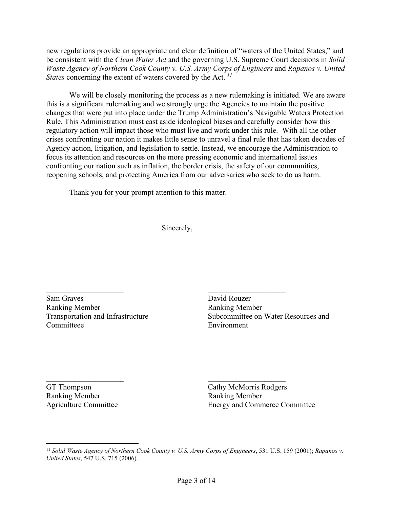new regulations provide an appropriate and clear definition of "waters of the United States," and be consistent with the *Clean Water Act* and the governing U.S. Supreme Court decisions in *Solid Waste Agency of Northern Cook County v. U.S. Army Corps of Engineers and Rapanos v. United States* concerning the extent of waters covered by the Act.<sup>[11](#page-2-0)</sup>

We will be closely monitoring the process as a new rulemaking is initiated. We are aware this is a significant rulemaking and we strongly urge the Agencies to maintain the positive changes that were put into place under the Trump Administration's Navigable Waters Protection Rule. This Administration must cast aside ideological biases and carefully consider how this regulatory action will impact those who must live and work under this rule. With all the other crises confronting our nation it makes little sense to unravel a final rule that has taken decades of Agency action, litigation, and legislation to settle. Instead, we encourage the Administration to focus its attention and resources on the more pressing economic and international issues confronting our nation such as inflation, the border crisis, the safety of our communities, reopening schools, and protecting America from our adversaries who seek to do us harm.

Thank you for your prompt attention to this matter.

Sincerely,

 $\overline{\phantom{a}}$ 

Sam Graves Ranking Member Transportation and Infrastructure Committeee

 $\frac{1}{\sqrt{2\pi}}$ 

GT Thompson Ranking Member Agriculture Committee

 $\mathcal{L}$  , we are the set of the set of the set of the set of the set of the set of the set of the set of the set of the set of the set of the set of the set of the set of the set of the set of the set of the set of the s

David Rouzer Ranking Member Subcommittee on Water Resources and Environment

 $\overline{\phantom{a}}$ 

Cathy McMorris Rodgers Ranking Member Energy and Commerce Committee

<span id="page-2-0"></span><sup>11</sup> *Solid Waste Agency of Northern Cook County v. U.S. Army Corps of Engineers*, 531 U.S. 159 (2001); *Rapanos v. United States*, 547 U.S. 715 (2006).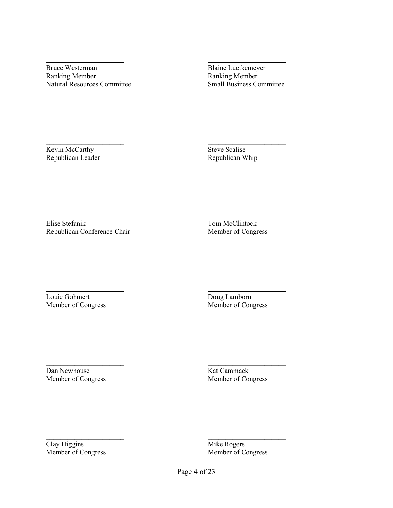June Westerma  $\sim$   $\sim$   $\sim$   $\sim$   $\sim$   $\sim$   $\sim$   $\sim$ 

Bruce Westerman Ranking Member Natural Resources Committee

Kein Mc Cant

Kevin McCarthy Republican Leader

 $\frac{1}{\sqrt{2}}$ 

Blaine Luetkemeyer Ranking Member Small Business Committee

alis  $\overline{C}$ 

Steve Scalise Republican Whip

ein M. Stefant

Elise Stefanik Republican Conference Chair

 $\frac{1}{2}$ 

Louie Gohmert Member of Congress

 $\mathcal{L}$  , we have the set of  $\mathcal{L}$ 

Dan Newhouse Member of Congress

 $\overline{\phantom{a}}$ 

Clay Higgins Member of Congress

In N. Cla  $\overline{\phantom{a}}$ 

Tom McClintock Member of Congress

Loug Lamhen

Doug Lamborn Member of Congress

\_\_\_\_\_\_\_\_\_\_\_\_\_\_\_\_\_\_\_\_\_\_

Kat Cammack Member of Congress

 $\cdot$   $\cdot$   $\circ$ 

Mike Rogers Member of Congress

Page 4 of 14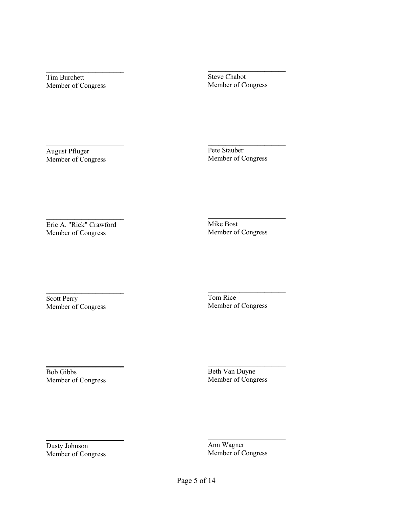$\overline{\phantom{a}}$ 

Tim Burchett Member of Congress

 $\frac{1}{2}$ 

August Pfluger Member of Congress

 $\blacksquare$ 

Eric A. "Rick" Crawford Member of Congress

 $\overline{\phantom{a}}$ 

Scott Perry Member of Congress

 $\sim$   $\sim$ 

Bob Gibbs Member of Congress

 $\overline{a}$   $\overline{a}$ 

Dusty Johnson Member of Congress

\_\_\_\_\_\_\_\_\_\_\_\_\_\_\_\_\_\_\_\_\_\_

Steve Chabot Member of Congress

 $\overline{\phantom{a}}$ 

Pete Stauber Member of Congress

\_\_\_\_\_\_\_\_\_\_\_\_\_\_\_\_\_\_\_\_\_\_

Mike Bost Member of Congress

\_\_\_\_\_\_\_\_\_\_\_\_\_\_\_\_\_\_\_\_\_\_

Tom Rice Member of Congress

 $\overline{\phantom{a}}$ 

Beth Van Duyne Member of Congress

hu U agu  $\sim$   $\sim$   $\sim$   $\sim$ 

Ann Wagner Member of Congress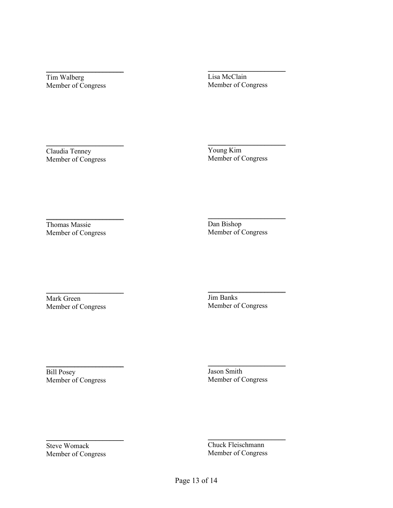Tim Walberg Member of Congress

 $\overline{\phantom{a}}$  , where  $\overline{\phantom{a}}$ 

Lisa McClain Member of Congress

\_\_\_\_\_\_\_\_\_\_\_\_\_\_\_\_\_\_\_\_\_\_

Claudia Tenney Member of Congress

 $\overline{\phantom{a}}$  , where  $\overline{\phantom{a}}$  , where  $\overline{\phantom{a}}$ 

Young Kim Member of Congress

 $\overline{\phantom{a}}$  , where  $\overline{\phantom{a}}$ 

Thomas Massie Member of Congress

 $\overline{\phantom{a}}$  , where  $\overline{\phantom{a}}$  , where  $\overline{\phantom{a}}$ 

Dan Bishop Member of Congress

 $\overline{\phantom{a}}$  , where  $\overline{\phantom{a}}$  , where  $\overline{\phantom{a}}$ 

Mark Green Member of Congress

 $\overline{\phantom{a}}$ 

\_\_\_\_\_\_\_\_\_\_\_\_\_\_\_\_\_\_\_\_\_\_

Bill Posey Member of Congress



Steve Womack Member of Congress

Jim Banks Member of Congress

 $\overline{\phantom{a}}$  , where  $\overline{\phantom{a}}$  , where  $\overline{\phantom{a}}$ 

 $7$  $\overline{\phantom{a}}$  , and the contract of the contract of the contract of the contract of the contract of the contract of the contract of the contract of the contract of the contract of the contract of the contract of the contrac

Jason Smith Member of Congress

Chuck Fleischmann Member of Congress

 $\overline{\phantom{a}}$  , where  $\overline{\phantom{a}}$